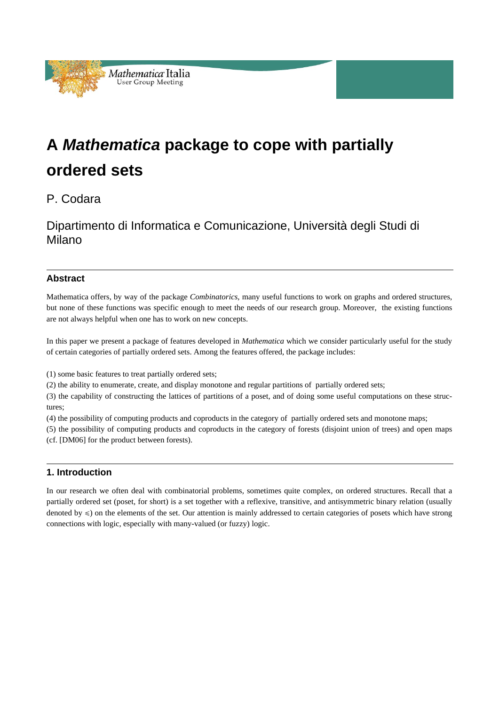

# **A** *Mathematica* **package to cope with partially ordered sets**

P. Codara

Dipartimento di Informatica e Comunicazione, Università degli Studi di Milano

# **Abstract**

Mathematica offers, by way of the package *Combinatorics*, many useful functions to work on graphs and ordered structures, but none of these functions was specific enough to meet the needs of our research group. Moreover, the existing functions are not always helpful when one has to work on new concepts.

In this paper we present a package of features developed in *Mathematica* which we consider particularly useful for the study of certain categories of partially ordered sets. Among the features offered, the package includes:

(1) some basic features to treat partially ordered sets;

(2) the ability to enumerate, create, and display monotone and regular partitions of partially ordered sets;

(3) the capability of constructing the lattices of partitions of a poset, and of doing some useful computations on these structures;

(4) the possibility of computing products and coproducts in the category of partially ordered sets and monotone maps;

(5) the possibility of computing products and coproducts in the category of forests (disjoint union of trees) and open maps (cf. [DM06] for the product between forests).

# **1. Introduction**

In our research we often deal with combinatorial problems, sometimes quite complex, on ordered structures. Recall that a partially ordered set (poset, for short) is a set together with a reflexive, transitive, and antisymmetric binary relation (usually denoted by  $\leq$ ) on the elements of the set. Our attention is mainly addressed to certain categories of posets which have strong connections with logic, especially with many-valued (or fuzzy) logic.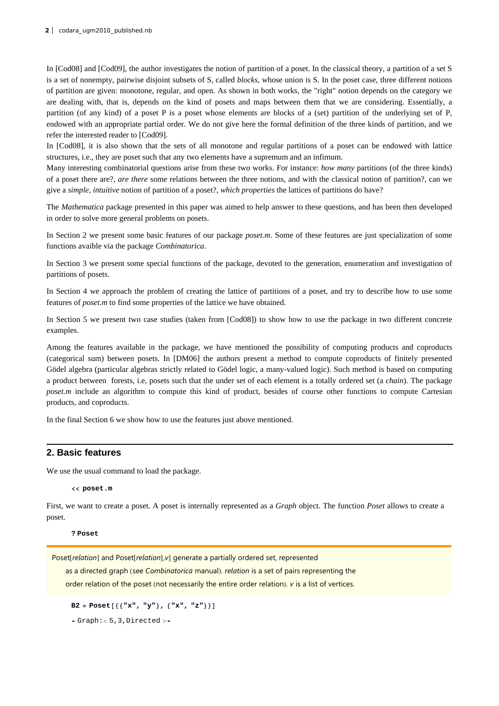In [Cod08] and [Cod09], the author investigates the notion of partition of a poset. In the classical theory, a partition of a set S is a set of nonempty, pairwise disjoint subsets of S, called *blocks*, whose union is S. In the poset case, three different notions of partition are given: monotone, regular, and open. As shown in both works, the "right" notion depends on the category we are dealing with, that is, depends on the kind of posets and maps between them that we are considering. Essentially, a partition (of any kind) of a poset P is a poset whose elements are blocks of a (set) partition of the underlying set of P, endowed with an appropriate partial order. We do not give here the formal definition of the three kinds of partition, and we refer the interested reader to [Cod09].

In [Cod08], it is also shown that the sets of all monotone and regular partitions of a poset can be endowed with lattice structures, i.e., they are poset such that any two elements have a supremum and an infimum.

Many interesting combinatorial questions arise from these two works. For instance: *how many* partitions (of the three kinds) of a poset there are?, *are there* some relations between the three notions, and with the classical notion of partition?, can we give a *simple, intuitive* notion of partition of a poset?, *which properties* the lattices of partitions do have?

The *Mathematica* package presented in this paper was aimed to help answer to these questions, and has been then developed in order to solve more general problems on posets.

In Section 2 we present some basic features of our package *poset.m*. Some of these features are just specialization of some functions avaible via the package *Combinatorica*.

In Section 3 we present some special functions of the package, devoted to the generation, enumeration and investigation of partitions of posets.

In Section 4 we approach the problem of creating the lattice of partitions of a poset, and try to describe how to use some features of *poset.m* to find some properties of the lattice we have obtained.

In Section 5 we present two case studies (taken from [Cod08]) to show how to use the package in two different concrete examples.

Among the features available in the package, we have mentioned the possibility of computing products and coproducts (categorical sum) between posets. In [DM06] the authors present a method to compute coproducts of finitely presented Gödel algebra (particular algebras strictly related to Gödel logic, a many-valued logic). Such method is based on computing a product between forests, i.e, posets such that the under set of each element is a totally ordered set (a *chain*). The package *poset.m* include an algorithm to compute this kind of product, besides of course other functions to compute Cartesian products, and coproducts.

In the final Section 6 we show how to use the features just above mentioned.

## **2. Basic features**

We use the usual command to load the package.

**<< poset.m**

First, we want to create a poset. A poset is internally represented as a *Graph* object. The function *Poset* allows to create a poset.

**? Poset**

Poset[relation] and Poset[relation], v] generate a partially ordered set, represented

as a directed graph (see *Combinatorica* manual). *relation* is a set of pairs representing the

order relation of the poset (not necessarily the entire order relation). *v* is a list of vertices.

 $B2 = Post[\{\{\n \mathbf{x}^{\mathsf{T}}, \mathbf{x}^{\mathsf{T}}\}, \{\{\mathbf{x}^{\mathsf{T}}, \mathbf{x}^{\mathsf{T}}\}\}\}\n$ 

 $-$  Graph: < 5, 3, Directed > $-$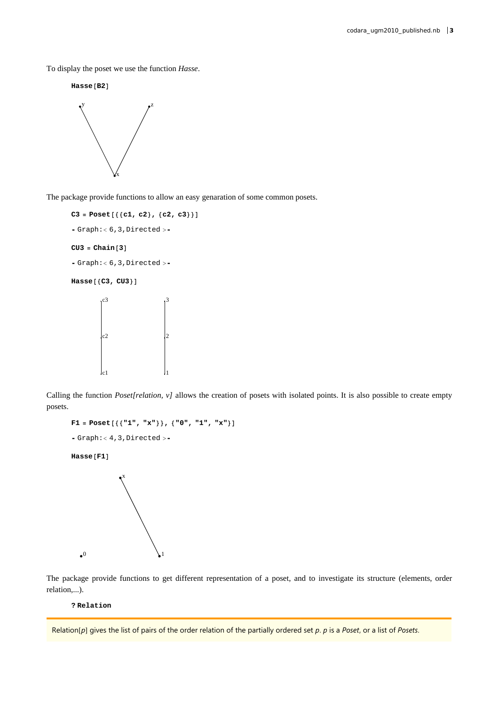To display the poset we use the function *Hasse*.

 $H$ **asse** [B2]



The package provide functions to allow an easy genaration of some common posets.

```
C3 = Post[\{(c1, c2), (c2, c3)\}]- Graph:< 6, 3, Directed > -CU3 = Chain[3]- Graph:< 6, 3, Directed >-
Hasse<sup>[</sup>(C3, CU3<sup>}</sup>]
           |c2|c3
                                 \vert<sub>2</sub>
                                 3
```
Calling the function *Poset[relation, v]* allows the creation of posets with isolated points. It is also possible to create empty posets.

```
F1 = \text{Poset}\left[\left\{\left\{``1", "x"\right\}\right\}, \left\{``0", "1", "x"\right\}\right]
```
1

```
- Graph:< 4, 3, Directed > -
```
c1

 $Hasse$ [**F1**]



The package provide functions to get different representation of a poset, and to investigate its structure (elements, order relation,...).

**? Relation**

Relation[p] gives the list of pairs of the order relation of the partially ordered set *p*. *p* is a *Poset*, or a list of *Posets*.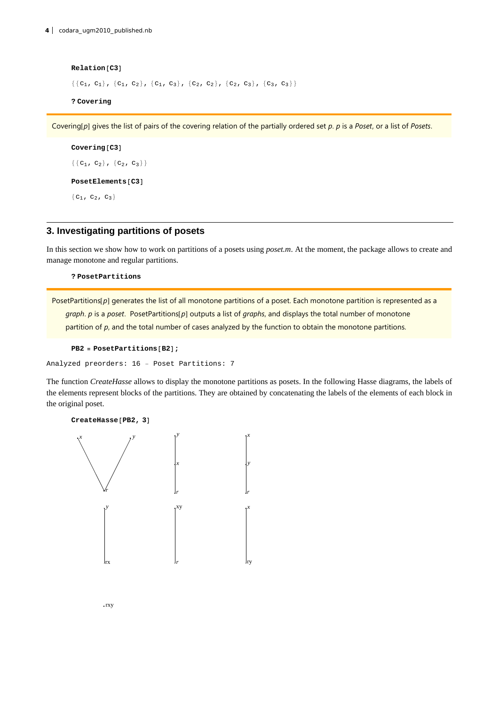$Relation[C3]$  $\{\{c_1, c_1\}, \{c_1, c_2\}, \{c_1, c_3\}, \{c_2, c_2\}, \{c_2, c_3\}, \{c_3, c_3\}\}\$ **? Covering**

Covering[p] gives the list of pairs of the covering relation of the partially ordered set *p*. *p* is a *Poset*, or a list of *Posets*.

```
Covering[C3]{C_1, c_2}, {C_2, c_3}PostElements [C3]
{c_1, c_2, c_3}
```
## **3. Investigating partitions of posets**

In this section we show how to work on partitions of a posets using *poset.m*. At the moment, the package allows to create and manage monotone and regular partitions.

**? PosetPartitions**

PosetPartitions[p] generates the list of all monotone partitions of a poset. Each monotone partition is represented as a *graph. p* is a *poset.* PosetPartitions[p] outputs a list of *graphs*, and displays the total number of monotone partition of *p*, and the total number of cases analyzed by the function to obtain the monotone partitions.

```
PB2 = PosetPartitions [B2]
```
Analyzed preorders: 16 − Poset Partitions: 7

The function *CreateHasse* allows to display the monotone partitions as posets. In the following Hasse diagrams, the labels of the elements represent blocks of the partitions. They are obtained by concatenating the labels of the elements of each block in the original poset.

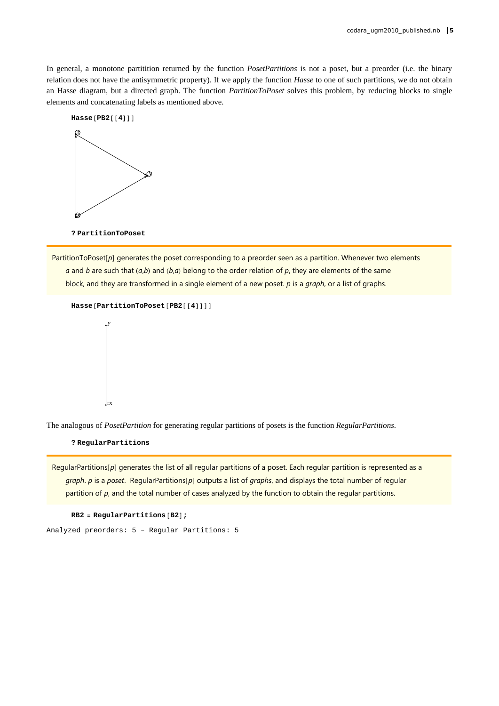In general, a monotone partitition returned by the function *PosetPartitions* is not a poset, but a preorder (i.e. the binary relation does not have the antisymmetric property). If we apply the function *Hasse* to one of such partitions, we do not obtain an Hasse diagram, but a directed graph. The function *PartitionToPoset* solves this problem, by reducing blocks to single elements and concatenating labels as mentioned above.



**? PartitionToPoset**

PartitionToPoset[p] generates the poset corresponding to a preorder seen as a partition. Whenever two elements *a* and *b* are such that  $(a,b)$  and  $(b,a)$  belong to the order relation of  $p$ , they are elements of the same block, and they are transformed in a single element of a new poset. *p* is a *graph*, or a list of graphs.

```
Hasse[PartitionToPoset[PB2[[4]]]]
```


The analogous of *PosetPartition* for generating regular partitions of posets is the function *RegularPartitions*.

**? RegularPartitions**

RegularPartitions[p] generates the list of all regular partitions of a poset. Each regular partition is represented as a *graph. p* is a *poset.* RegularPartitions[p] outputs a list of *graphs*, and displays the total number of regular partition of *p*, and the total number of cases analyzed by the function to obtain the regular partitions.

```
RB2 = RegularPartitions [B2];
```
Analyzed preorders: 5 − Regular Partitions: 5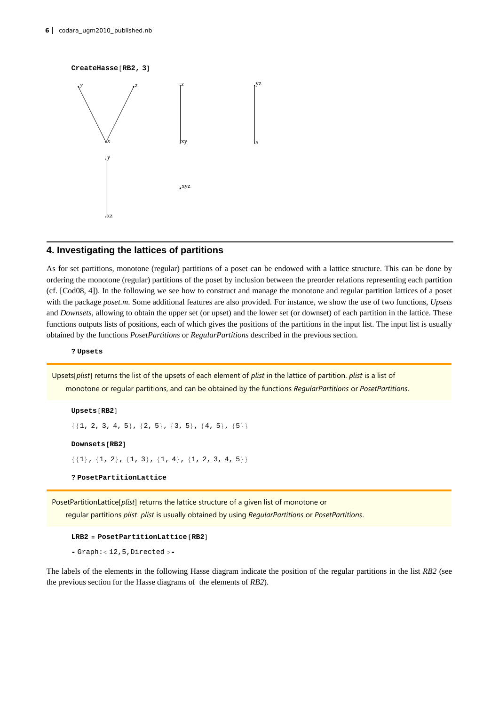#### $CreateHasse [RB2, 3]$



## **4. Investigating the lattices of partitions**

As for set partitions, monotone (regular) partitions of a poset can be endowed with a lattice structure. This can be done by ordering the monotone (regular) partitions of the poset by inclusion between the preorder relations representing each partition (cf. [Cod08, 4]). In the following we see how to construct and manage the monotone and regular partition lattices of a poset with the package *poset.m*. Some additional features are also provided. For instance, we show the use of two functions, *Upsets* and *Downsets*, allowing to obtain the upper set (or upset) and the lower set (or downset) of each partition in the lattice. These functions outputs lists of positions, each of which gives the positions of the partitions in the input list. The input list is usually obtained by the functions *PosetPartitions* or *RegularPartitions* described in the previous section.

**? Upsets**

Upsets[plist] returns the list of the upsets of each element of *plist* in the lattice of partition. *plist* is a list of monotone or regular partitions, and can be obtained by the functions *RegularPartitions* or *PosetPartitions*.

#### $U$ psets<sup>[RB2]</sup>

```
\{\{1, 2, 3, 4, 5\}, \{2, 5\}, \{3, 5\}, \{4, 5\}, \{5\}\}\
```
 $Downsets$  [RB2]

```
\{\{1\}, \{1, 2\}, \{1, 3\}, \{1, 4\}, \{1, 2, 3, 4, 5\}\}\
```
**? PosetPartitionLattice**

PosetPartitionLattice[plist] returns the lattice structure of a given list of monotone or regular partitions *plist*. *plist* is usually obtained by using *RegularPartitions* or *PosetPartitions*.

#### $LRB2 = PostPartitionLattice [RB2]$

 $-$  Graph: $<$  12, 5, Directed  $>$ 

The labels of the elements in the following Hasse diagram indicate the position of the regular partitions in the list *RB2* (see the previous section for the Hasse diagrams of the elements of *RB2*).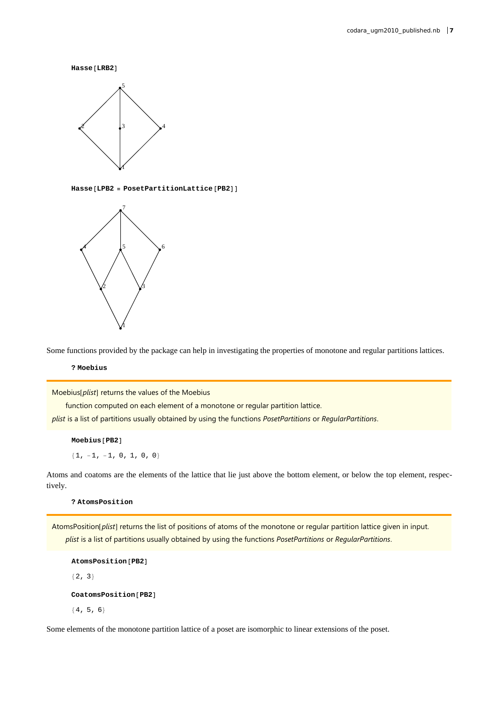$Hasse[LRB2]$ 



 $Hasse[LPB2 = PostPartitionLattice[PB2]]$ 



Some functions provided by the package can help in investigating the properties of monotone and regular partitions lattices.

**? Moebius**

Moebius[plist] returns the values of the Moebius

function computed on each element of a monotone or regular partition lattice.

*plist* is a list of partitions usually obtained by using the functions *PosetPartitions* or *RegularPartitions*.

 $M$ oebius<sup>[PB2]</sup>

 ${1, -1, -1, 0, 1, 0, 0}$ 

Atoms and coatoms are the elements of the lattice that lie just above the bottom element, or below the top element, respectively.

**? AtomsPosition**

AtomsPosition[plist] returns the list of positions of atoms of the monotone or regular partition lattice given in input. *plist* is a list of partitions usually obtained by using the functions *PosetPartitions* or *RegularPartitions*.

```
Atomicen[PB2]{2, 3}
```
 $\text{Costom}sPosition[PB2]$ 

 ${4, 5, 6}$ 

Some elements of the monotone partition lattice of a poset are isomorphic to linear extensions of the poset.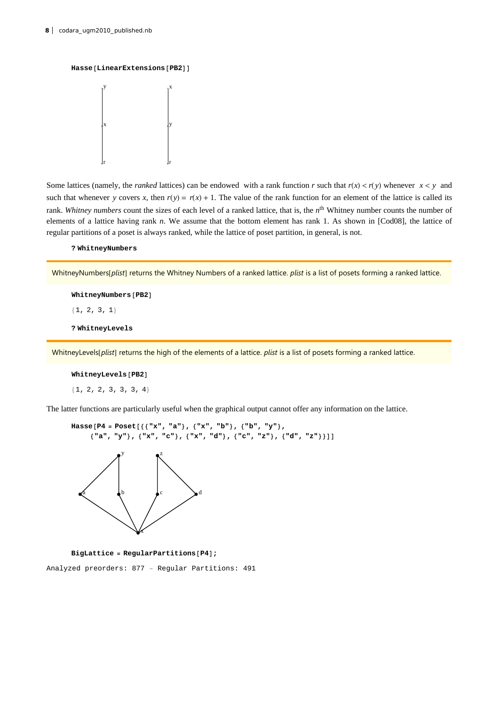```
Hasse[LinearExtensions [PB2]]
```


Some lattices (namely, the *ranked* lattices) can be endowed with a rank function *r* such that  $r(x) < r(y)$  whenever  $x < y$  and such that whenever *y* covers *x*, then  $r(y) = r(x) + 1$ . The value of the rank function for an element of the lattice is called its rank. *Whitney numbers* count the sizes of each level of a ranked lattice, that is, the *n*th Whitney number counts the number of elements of a lattice having rank *n*. We assume that the bottom element has rank 1. As shown in [Cod08], the lattice of regular partitions of a poset is always ranked, while the lattice of poset partition, in general, is not.

**? WhitneyNumbers**

WhitneyNumbers[plist] returns the Whitney Numbers of a ranked lattice. *plist* is a list of posets forming a ranked lattice.

 $WhitneyNumbers$  [PB2]

 ${1, 2, 3, 1}$ 

**? WhitneyLevels**

WhitneyLevels[plist] returns the high of the elements of a lattice. *plist* is a list of posets forming a ranked lattice.

#### $WhitneyLevels$ <sup>[PB2]</sup>

 ${1, 2, 2, 3, 3, 3, 4}$ 

The latter functions are particularly useful when the graphical output cannot offer any information on the lattice.

```
Hasse@P4 = Poset@88"x", "a"<, 8"x", "b"<, 8"b", "y"<,
      {^{\{}}"a", "y"}, {^{\{}}}"x", "c"}, {^{\{}}}"x", "d"}, {^{\{}}}"c", "z"}, {^{\{}}}"d", "z"}}]]
    a \downarrowb \downarrowc \downarrowd
                      x
                y \bullet^z
```
**BigLattice** = **RegularPartitions** [P4] ;

Analyzed preorders: 877 − Regular Partitions: 491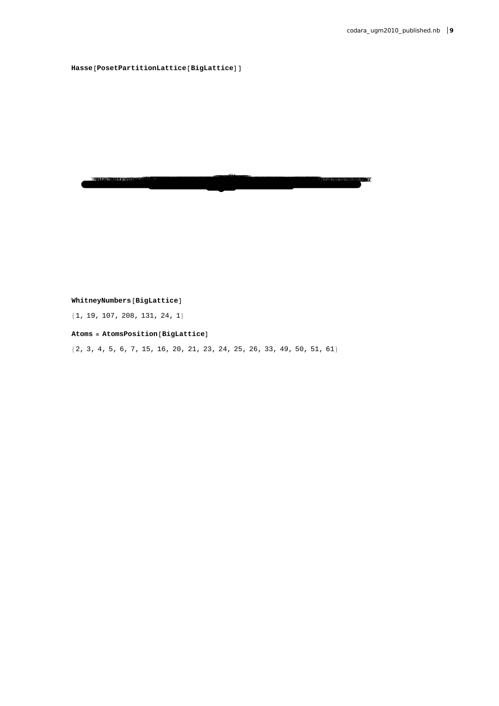$\texttt{Hasse}[\texttt{PosetPartitionLattice}[\texttt{Big}]$ 

**The contract of the contract of the contract of the contract of the contract of the contract of the contract of the contract of the contract of the contract of the contract of the contract of the contract of the contract** 

 $WhitneyNumbers[BigLattice]$ 

 ${1, 19, 107, 208, 131, 24, 1}$ 

 $A$ toms =  $A$ toms $Pos$ ition $[B$ igLattice

 ${2, 3, 4, 5, 6, 7, 15, 16, 20, 21, 23, 24, 25, 26, 33, 49, 50, 51, 61}$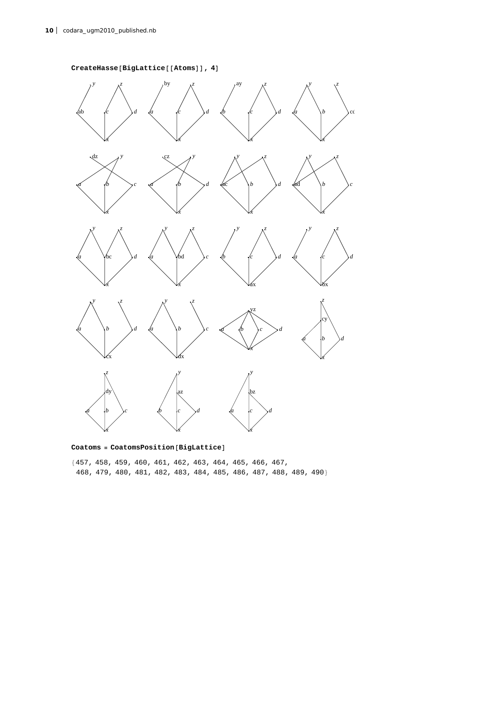



 $\text{Codoms} = \text{CoatomsPosition}[\text{BigLattice}]$ 

8457, 458, 459, 460, 461, 462, 463, 464, 465, 466, 467, 468, 479, 480, 481, 482, 483, 484, 485, 486, 487, 488, 489, 490<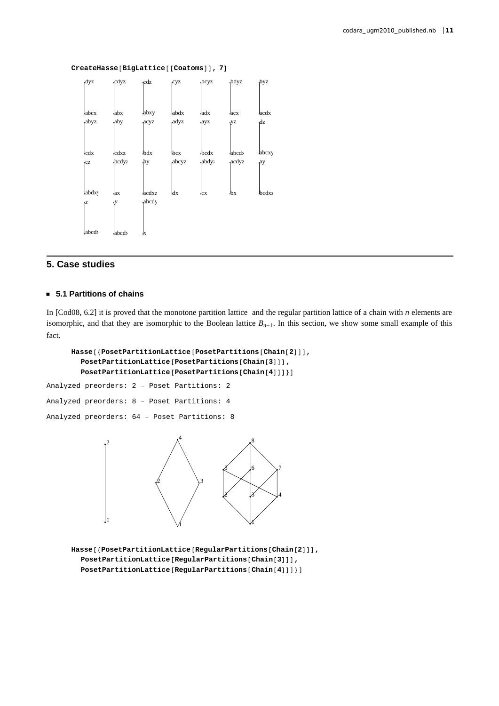

 $CreateHasse[Bightatice[[Coatoms]]$ , 7]

## **5. Case studies**

## **ü 5.1 Partitions of chains**

In [Cod08, 6.2] it is proved that the monotone partition lattice and the regular partition lattice of a chain with *n* elements are isomorphic, and that they are isomorphic to the Boolean lattice  $B_{n-1}$ . In this section, we show some small example of this fact.

```
Hasse@8PosetPartitionLattice@PosetPartitions@Chain@2DDD,
  PosetPartitionLattice@PosetPartitions@Chain@3DDD,
  \text{PostPartitionLattice} [PosetPartitions [Chain [4] ] ] ]
```
Analyzed preorders: 2 − Poset Partitions: 2 Analyzed preorders: 8 − Poset Partitions: 4 Analyzed preorders: 64 − Poset Partitions: 8



**Hasse@8PosetPartitionLattice@RegularPartitions@Chain@2DDD, PosetPartitionLattice@RegularPartitions@Chain@3DDD,**  $PostPartitionLattice[RegularPartition[4]]]]$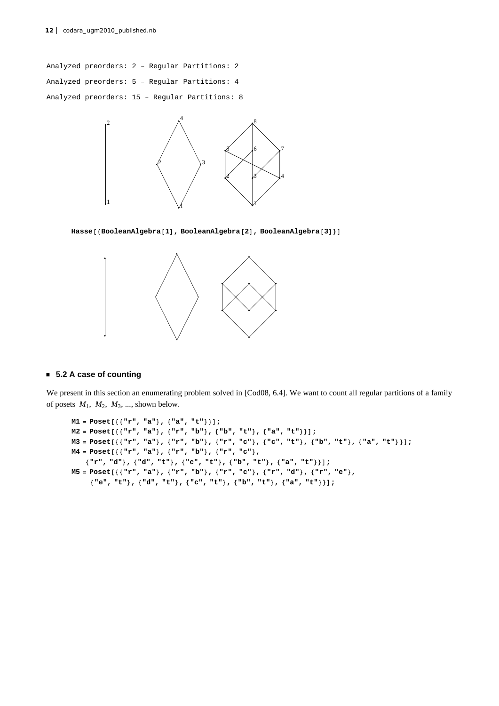Analyzed preorders: 2 − Regular Partitions: 2 Analyzed preorders: 5 − Regular Partitions: 4 Analyzed preorders: 15 − Regular Partitions: 8



 $Hasse$ <sup>[</sup>{BooleanAlgebra<sup>[1]</sup>, BooleanAlgebra<sup>[2]</sup>, BooleanAlgebra<sup>[3]</sup>}



## **ü 5.2 A case of counting**

We present in this section an enumerating problem solved in [Cod08, 6.4]. We want to count all regular partitions of a family of posets  $M_1$ ,  $M_2$ ,  $M_3$ , ..., shown below.

```
M1 = Poset[{{"r", "a"}, {"a", "t"}}];
M2 = Post[\{\{\text{Tr", \text{Var}, \text{Var}\}, \{\text{Tr", \text{Dir}\}, \{\text{Tr", \text{Var}, \text{Var}, \text{Var}, \text{Dir}\}\}\};M3 = Poset [{{"r", "a"}, {"r", "b"}, {"r", "c"}, {"c", "t"}, {"b", "t"}, {"a", "t"}}];
M4 = \text{Poset}\left[\left\{\left\{\text{''r''}, \text{''a''}\right\}, \left\{\text{''r''}, \text{''b''}\right\}, \left\{\text{''r''}, \text{''c''}\right\}\right]8"r", "d"<, 8"d", "t"<, 8"c", "t"<, 8"b", "t"<, 8"a", "t"<<D;
M5 = Poset [{{'wr", "a"}}, {'r", "b"}}, {'r", "c"}, {'r", "d"}}, {'r", "e"}8"e", "t"<, 8"d", "t"<, 8"c", "t"<, 8"b", "t"<, 8"a", "t"<<D;
```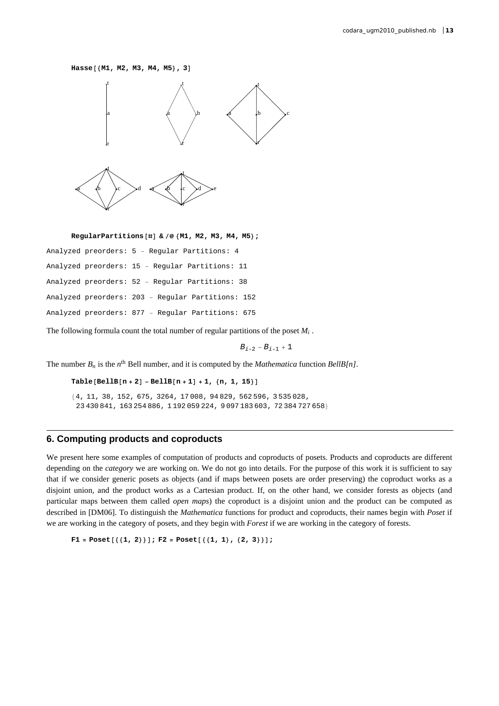#### $Hasse[{M1, M2, M3, M4, M5}, 3]$



**RegularPartitions** [#] & /@ {M1, M2, M3, M4, M5};

| Analyzed preorders: 5 - Reqular Partitions: 4     |
|---------------------------------------------------|
| Analyzed preorders: 15 - Regular Partitions: 11   |
| Analyzed preorders: 52 - Regular Partitions: 38   |
| Analyzed preorders: 203 - Reqular Partitions: 152 |
| Analyzed preorders: 877 - Reqular Partitions: 675 |
|                                                   |

The following formula count the total number of regular partitions of the poset *Mi* .

 $B_{i+2} - B_{i+1} + 1$ 

The number  $B_n$  is the  $n^{\text{th}}$  Bell number, and it is computed by the *Mathematica* function *BellB[n]*.

```
\text{Table }[\text{Bells}[n + 2] - \text{Bells}[n + 1] + 1, \{n, 1, 15\}]
```

```
84, 11, 38, 152, 675, 3264, 17 008, 94 829, 562 596, 3 535 028,
 23 430 841, 163 254 886, 1 192 059 224, 9 097 183 603, 72 384 727 658<
```
## **6. Computing products and coproducts**

We present here some examples of computation of products and coproducts of posets. Products and coproducts are different depending on the *category* we are working on. We do not go into details. For the purpose of this work it is sufficient to say that if we consider generic posets as objects (and if maps between posets are order preserving) the coproduct works as a disjoint union, and the product works as a Cartesian product. If, on the other hand, we consider forests as objects (and particular maps between them called *open maps*) the coproduct is a disjoint union and the product can be computed as described in [DM06]. To distinguish the *Mathematica* functions for product and coproducts, their names begin with *Poset* if we are working in the category of posets, and they begin with *Forest* if we are working in the category of forests.

 $F1 = Post[{(1, 2)}]; F2 = Post[{(1, 1)}, {2, 3)}];$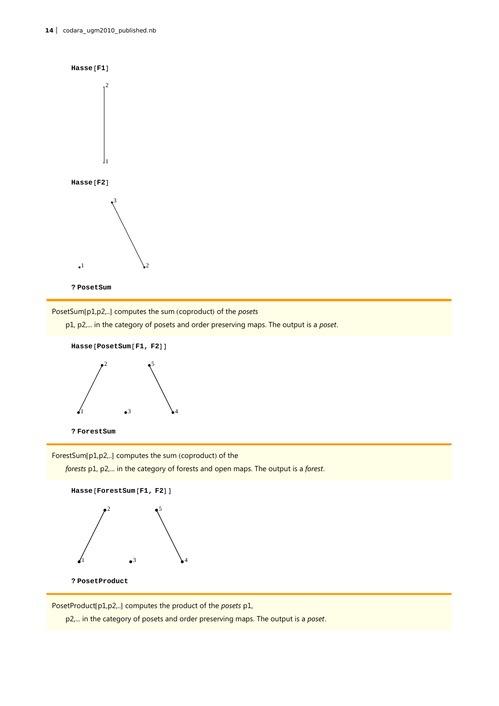

PosetSum[p1,p2,..] computes the sum (coproduct) of the *posets* 

p1, p2,... in the category of posets and order preserving maps. The output is a *poset*.





**? ForestSum**

ForestSum[p1,p2,..] computes the sum (coproduct) of the

*forests* p1, p2,... in the category of forests and open maps. The output is a *forest*.



PosetProduct[p1,p2,..] computes the product of the *posets* p1,

p2,... in the category of posets and order preserving maps. The output is a *poset*.